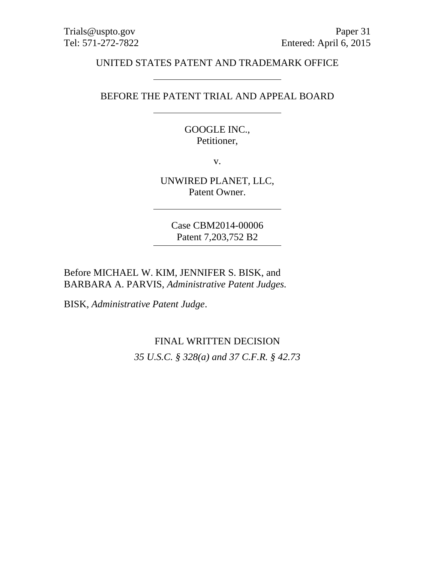#### UNITED STATES PATENT AND TRADEMARK OFFICE

#### BEFORE THE PATENT TRIAL AND APPEAL BOARD

GOOGLE INC., Petitioner,

v.

UNWIRED PLANET, LLC, Patent Owner.

Case CBM2014-00006 Patent 7,203,752 B2

Before MICHAEL W. KIM, JENNIFER S. BISK, and BARBARA A. PARVIS, *Administrative Patent Judges.*

BISK, *Administrative Patent Judge*.

## FINAL WRITTEN DECISION

*35 U.S.C. § 328(a) and 37 C.F.R. § 42.73*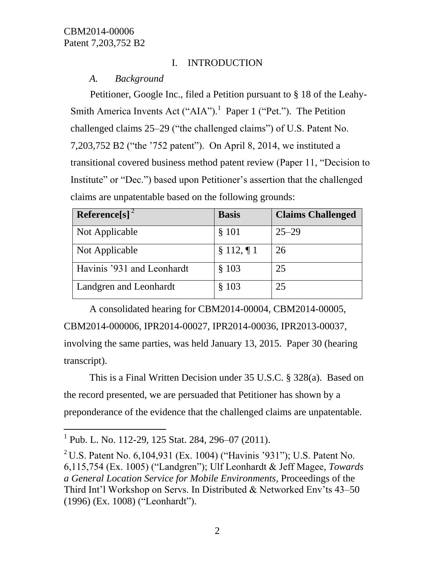# I. INTRODUCTION

# *A. Background*

Petitioner, Google Inc., filed a Petition pursuant to § 18 of the Leahy-Smith America Invents Act ("AIA").<sup>1</sup> Paper 1 ("Pet."). The Petition challenged claims 25–29 ("the challenged claims") of U.S. Patent No. 7,203,752 B2 ("the '752 patent"). On April 8, 2014, we instituted a transitional covered business method patent review (Paper 11, "Decision to Institute" or "Dec.") based upon Petitioner's assertion that the challenged claims are unpatentable based on the following grounds:

| Reference[s] $2$           | <b>Basis</b>  | <b>Claims Challenged</b> |
|----------------------------|---------------|--------------------------|
| Not Applicable             | § 101         | $25 - 29$                |
| Not Applicable             | $§ 112, \P 1$ | 26                       |
| Havinis '931 and Leonhardt | \$103         | 25                       |
| Landgren and Leonhardt     | § 103         | 25                       |

A consolidated hearing for CBM2014-00004, CBM2014-00005, CBM2014-000006, IPR2014-00027, IPR2014-00036, IPR2013-00037, involving the same parties, was held January 13, 2015. Paper 30 (hearing transcript).

This is a Final Written Decision under 35 U.S.C. § 328(a). Based on the record presented, we are persuaded that Petitioner has shown by a preponderance of the evidence that the challenged claims are unpatentable.

 $\overline{a}$ 

<sup>&</sup>lt;sup>1</sup> Pub. L. No. 112-29, 125 Stat. 284, 296–07 (2011).

<sup>&</sup>lt;sup>2</sup> U.S. Patent No. 6,104,931 (Ex. 1004) ("Havinis '931"); U.S. Patent No. 6,115,754 (Ex. 1005) ("Landgren"); Ulf Leonhardt & Jeff Magee, *Towards a General Location Service for Mobile Environments,* Proceedings of the Third Int'l Workshop on Servs. In Distributed & Networked Env'ts 43–50 (1996) (Ex. 1008) ("Leonhardt").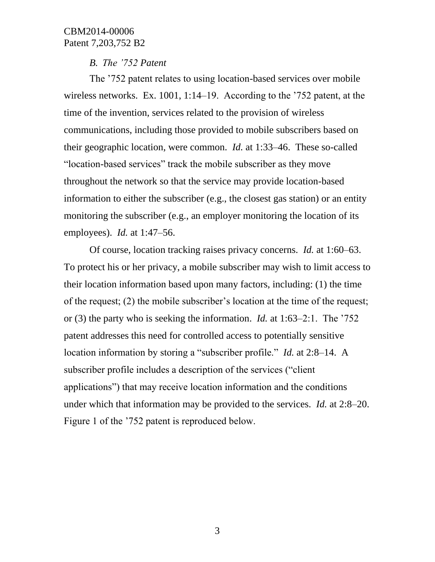### *B. The '752 Patent*

The '752 patent relates to using location-based services over mobile wireless networks. Ex. 1001, 1:14–19. According to the '752 patent, at the time of the invention, services related to the provision of wireless communications, including those provided to mobile subscribers based on their geographic location, were common. *Id.* at 1:33–46. These so-called "location-based services" track the mobile subscriber as they move throughout the network so that the service may provide location-based information to either the subscriber (e.g., the closest gas station) or an entity monitoring the subscriber (e.g., an employer monitoring the location of its employees). *Id.* at 1:47–56.

Of course, location tracking raises privacy concerns. *Id.* at 1:60–63. To protect his or her privacy, a mobile subscriber may wish to limit access to their location information based upon many factors, including: (1) the time of the request; (2) the mobile subscriber's location at the time of the request; or (3) the party who is seeking the information. *Id.* at 1:63–2:1. The '752 patent addresses this need for controlled access to potentially sensitive location information by storing a "subscriber profile." *Id.* at 2:8–14. A subscriber profile includes a description of the services ("client applications") that may receive location information and the conditions under which that information may be provided to the services. *Id.* at 2:8–20. Figure 1 of the '752 patent is reproduced below.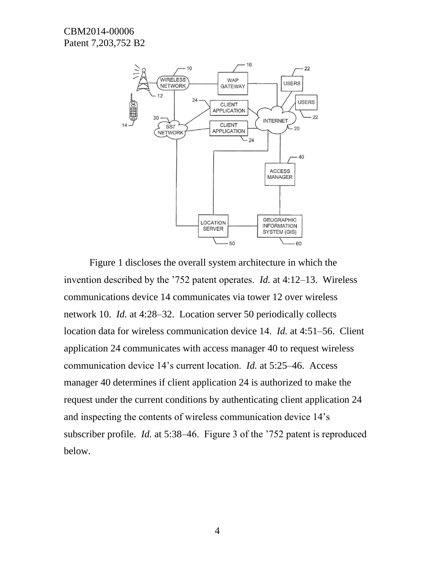

Figure 1 discloses the overall system architecture in which the invention described by the '752 patent operates. *Id.* at 4:12–13. Wireless communications device 14 communicates via tower 12 over wireless network 10. *Id.* at 4:28–32. Location server 50 periodically collects location data for wireless communication device 14. *Id.* at 4:51–56. Client application 24 communicates with access manager 40 to request wireless communication device 14's current location. *Id.* at 5:25–46. Access manager 40 determines if client application 24 is authorized to make the request under the current conditions by authenticating client application 24 and inspecting the contents of wireless communication device 14's subscriber profile. *Id.* at 5:38–46. Figure 3 of the '752 patent is reproduced below.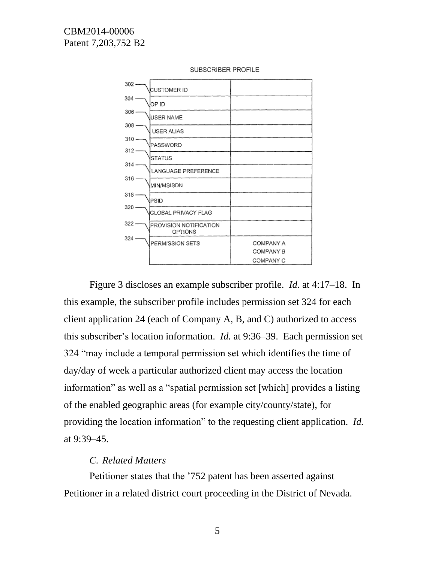

SUBSCRIBER PROFILE

Figure 3 discloses an example subscriber profile. *Id.* at 4:17–18. In this example, the subscriber profile includes permission set 324 for each client application 24 (each of Company A, B, and C) authorized to access this subscriber's location information. *Id.* at 9:36–39. Each permission set 324 "may include a temporal permission set which identifies the time of day/day of week a particular authorized client may access the location information" as well as a "spatial permission set [which] provides a listing of the enabled geographic areas (for example city/county/state), for providing the location information" to the requesting client application. *Id.* at 9:39–45.

### *C. Related Matters*

Petitioner states that the '752 patent has been asserted against Petitioner in a related district court proceeding in the District of Nevada.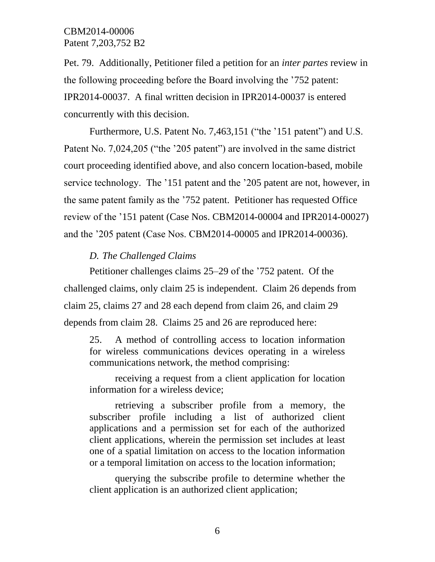Pet. 79. Additionally, Petitioner filed a petition for an *inter partes* review in the following proceeding before the Board involving the '752 patent: IPR2014-00037. A final written decision in IPR2014-00037 is entered concurrently with this decision.

Furthermore, U.S. Patent No. 7,463,151 ("the '151 patent") and U.S. Patent No. 7,024,205 ("the '205 patent") are involved in the same district court proceeding identified above, and also concern location-based, mobile service technology. The '151 patent and the '205 patent are not, however, in the same patent family as the '752 patent. Petitioner has requested Office review of the '151 patent (Case Nos. CBM2014-00004 and IPR2014-00027) and the '205 patent (Case Nos. CBM2014-00005 and IPR2014-00036).

#### *D. The Challenged Claims*

Petitioner challenges claims 25–29 of the '752 patent. Of the challenged claims, only claim 25 is independent. Claim 26 depends from claim 25, claims 27 and 28 each depend from claim 26, and claim 29 depends from claim 28. Claims 25 and 26 are reproduced here:

25. A method of controlling access to location information for wireless communications devices operating in a wireless communications network, the method comprising:

receiving a request from a client application for location information for a wireless device;

retrieving a subscriber profile from a memory, the subscriber profile including a list of authorized client applications and a permission set for each of the authorized client applications, wherein the permission set includes at least one of a spatial limitation on access to the location information or a temporal limitation on access to the location information;

querying the subscribe profile to determine whether the client application is an authorized client application;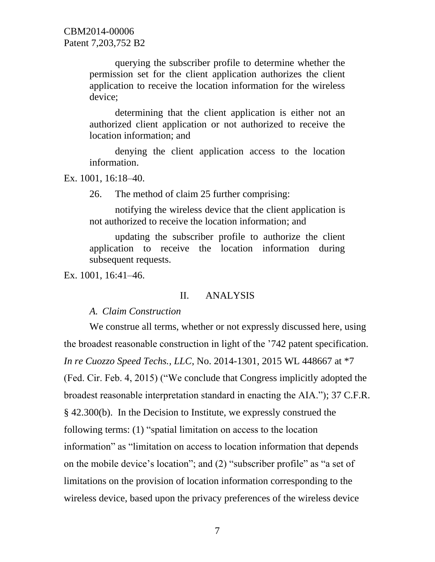> querying the subscriber profile to determine whether the permission set for the client application authorizes the client application to receive the location information for the wireless device;

> determining that the client application is either not an authorized client application or not authorized to receive the location information; and

> denying the client application access to the location information.

Ex. 1001, 16:18–40.

26. The method of claim 25 further comprising:

notifying the wireless device that the client application is not authorized to receive the location information; and

updating the subscriber profile to authorize the client application to receive the location information during subsequent requests.

Ex. 1001, 16:41–46.

### II. ANALYSIS

*A. Claim Construction*

We construe all terms, whether or not expressly discussed here, using the broadest reasonable construction in light of the '742 patent specification. *In re Cuozzo Speed Techs., LLC*, No. 2014-1301, 2015 WL 448667 at \*7 (Fed. Cir. Feb. 4, 2015) ("We conclude that Congress implicitly adopted the broadest reasonable interpretation standard in enacting the AIA."); 37 C.F.R. § 42.300(b). In the Decision to Institute, we expressly construed the following terms: (1) "spatial limitation on access to the location information" as "limitation on access to location information that depends on the mobile device's location"; and (2) "subscriber profile" as "a set of limitations on the provision of location information corresponding to the wireless device, based upon the privacy preferences of the wireless device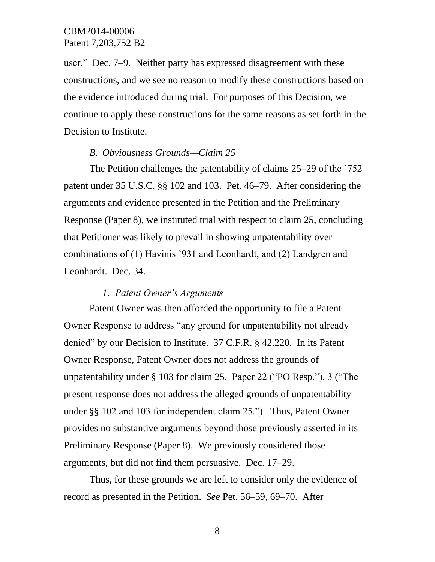user." Dec. 7–9.Neither party has expressed disagreement with these constructions, and we see no reason to modify these constructions based on the evidence introduced during trial. For purposes of this Decision, we continue to apply these constructions for the same reasons as set forth in the Decision to Institute.

### *B. Obviousness Grounds—Claim 25*

The Petition challenges the patentability of claims 25–29 of the '752 patent under 35 U.S.C. §§ 102 and 103. Pet. 46–79. After considering the arguments and evidence presented in the Petition and the Preliminary Response (Paper 8), we instituted trial with respect to claim 25, concluding that Petitioner was likely to prevail in showing unpatentability over combinations of (1) Havinis '931 and Leonhardt, and (2) Landgren and Leonhardt. Dec. 34.

### *1. Patent Owner's Arguments*

Patent Owner was then afforded the opportunity to file a Patent Owner Response to address "any ground for unpatentability not already denied" by our Decision to Institute. 37 C.F.R. § 42.220. In its Patent Owner Response, Patent Owner does not address the grounds of unpatentability under § 103 for claim 25. Paper 22 ("PO Resp."), 3 ("The present response does not address the alleged grounds of unpatentability under §§ 102 and 103 for independent claim 25."). Thus, Patent Owner provides no substantive arguments beyond those previously asserted in its Preliminary Response (Paper 8). We previously considered those arguments, but did not find them persuasive. Dec. 17–29.

Thus, for these grounds we are left to consider only the evidence of record as presented in the Petition. *See* Pet. 56–59, 69–70. After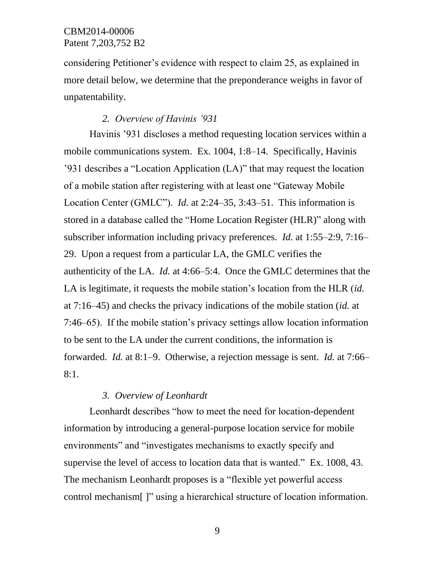considering Petitioner's evidence with respect to claim 25, as explained in more detail below, we determine that the preponderance weighs in favor of unpatentability.

#### *2. Overview of Havinis '931*

Havinis '931 discloses a method requesting location services within a mobile communications system. Ex. 1004, 1:8–14. Specifically, Havinis '931 describes a "Location Application (LA)" that may request the location of a mobile station after registering with at least one "Gateway Mobile Location Center (GMLC"). *Id.* at 2:24–35, 3:43–51. This information is stored in a database called the "Home Location Register (HLR)" along with subscriber information including privacy preferences. *Id.* at 1:55–2:9, 7:16– 29. Upon a request from a particular LA, the GMLC verifies the authenticity of the LA. *Id.* at 4:66–5:4. Once the GMLC determines that the LA is legitimate, it requests the mobile station's location from the HLR (*id.* at 7:16–45) and checks the privacy indications of the mobile station (*id.* at 7:46–65). If the mobile station's privacy settings allow location information to be sent to the LA under the current conditions, the information is forwarded. *Id.* at 8:1–9. Otherwise, a rejection message is sent. *Id.* at 7:66– 8:1.

# *3. Overview of Leonhardt*

Leonhardt describes "how to meet the need for location-dependent information by introducing a general-purpose location service for mobile environments" and "investigates mechanisms to exactly specify and supervise the level of access to location data that is wanted." Ex. 1008, 43. The mechanism Leonhardt proposes is a "flexible yet powerful access control mechanism[ ]" using a hierarchical structure of location information.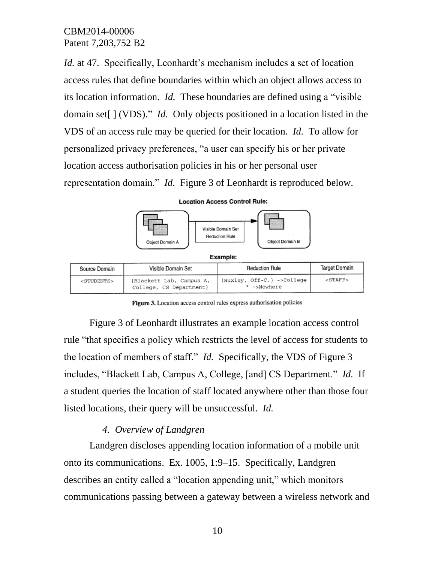*Id.* at 47. Specifically, Leonhardt's mechanism includes a set of location access rules that define boundaries within which an object allows access to its location information. *Id.* These boundaries are defined using a "visible domain set[ ] (VDS)." *Id.* Only objects positioned in a location listed in the VDS of an access rule may be queried for their location. *Id.* To allow for personalized privacy preferences, "a user can specify his or her private location access authorisation policies in his or her personal user representation domain." *Id.* Figure 3 of Leonhardt is reproduced below.



**Location Access Control Rule:** 

Figure 3. Location access control rules express authorisation policies

Figure 3 of Leonhardt illustrates an example location access control rule "that specifies a policy which restricts the level of access for students to the location of members of staff." *Id.* Specifically, the VDS of Figure 3 includes, "Blackett Lab, Campus A, College, [and] CS Department." *Id.* If a student queries the location of staff located anywhere other than those four listed locations, their query will be unsuccessful. *Id.*

### *4. Overview of Landgren*

Landgren discloses appending location information of a mobile unit onto its communications. Ex. 1005, 1:9–15. Specifically, Landgren describes an entity called a "location appending unit," which monitors communications passing between a gateway between a wireless network and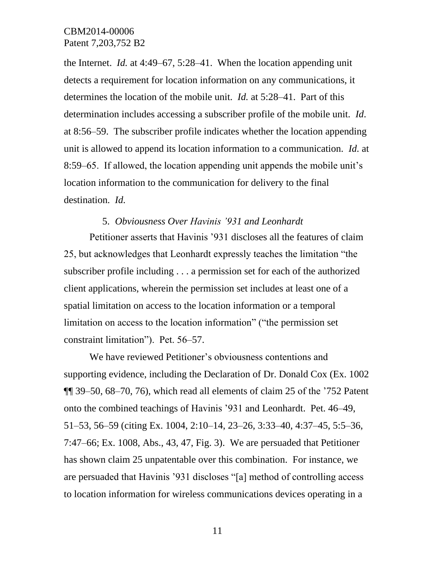the Internet. *Id.* at 4:49–67, 5:28–41. When the location appending unit detects a requirement for location information on any communications, it determines the location of the mobile unit. *Id.* at 5:28–41. Part of this determination includes accessing a subscriber profile of the mobile unit. *Id*. at 8:56–59. The subscriber profile indicates whether the location appending unit is allowed to append its location information to a communication. *Id.* at 8:59–65. If allowed, the location appending unit appends the mobile unit's location information to the communication for delivery to the final destination. *Id.*

#### 5. *Obviousness Over Havinis '931 and Leonhardt*

Petitioner asserts that Havinis '931 discloses all the features of claim 25, but acknowledges that Leonhardt expressly teaches the limitation "the subscriber profile including . . . a permission set for each of the authorized client applications, wherein the permission set includes at least one of a spatial limitation on access to the location information or a temporal limitation on access to the location information" ("the permission set constraint limitation"). Pet. 56–57.

We have reviewed Petitioner's obviousness contentions and supporting evidence, including the Declaration of Dr. Donald Cox (Ex. 1002 ¶¶ 39–50, 68–70, 76), which read all elements of claim 25 of the '752 Patent onto the combined teachings of Havinis '931 and Leonhardt. Pet. 46–49, 51–53, 56–59 (citing Ex. 1004, 2:10–14, 23–26, 3:33–40, 4:37–45, 5:5–36, 7:47–66; Ex. 1008, Abs., 43, 47, Fig. 3). We are persuaded that Petitioner has shown claim 25 unpatentable over this combination. For instance, we are persuaded that Havinis '931 discloses "[a] method of controlling access to location information for wireless communications devices operating in a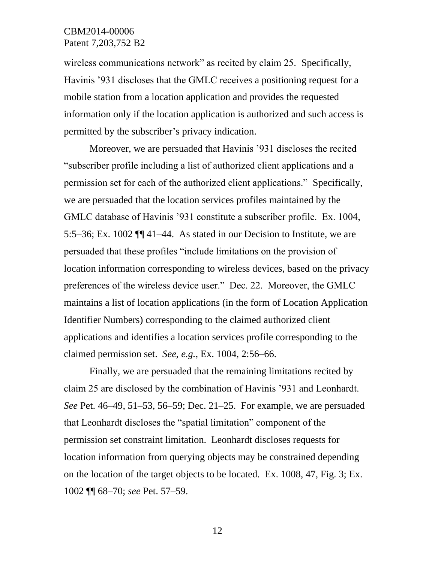wireless communications network" as recited by claim 25. Specifically, Havinis '931 discloses that the GMLC receives a positioning request for a mobile station from a location application and provides the requested information only if the location application is authorized and such access is permitted by the subscriber's privacy indication.

Moreover, we are persuaded that Havinis '931 discloses the recited "subscriber profile including a list of authorized client applications and a permission set for each of the authorized client applications." Specifically, we are persuaded that the location services profiles maintained by the GMLC database of Havinis '931 constitute a subscriber profile. Ex. 1004, 5:5–36; Ex. 1002 ¶¶ 41–44. As stated in our Decision to Institute, we are persuaded that these profiles "include limitations on the provision of location information corresponding to wireless devices, based on the privacy preferences of the wireless device user." Dec. 22. Moreover, the GMLC maintains a list of location applications (in the form of Location Application Identifier Numbers) corresponding to the claimed authorized client applications and identifies a location services profile corresponding to the claimed permission set. *See, e.g.*, Ex. 1004, 2:56–66.

Finally, we are persuaded that the remaining limitations recited by claim 25 are disclosed by the combination of Havinis '931 and Leonhardt. *See* Pet. 46–49, 51–53, 56–59; Dec. 21–25. For example, we are persuaded that Leonhardt discloses the "spatial limitation" component of the permission set constraint limitation. Leonhardt discloses requests for location information from querying objects may be constrained depending on the location of the target objects to be located. Ex. 1008, 47, Fig. 3; Ex. 1002 ¶¶ 68–70; *see* Pet. 57–59.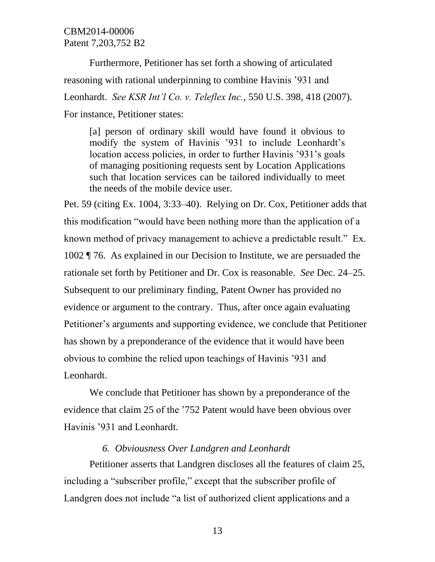Furthermore, Petitioner has set forth a showing of articulated reasoning with rational underpinning to combine Havinis '931 and Leonhardt. *See KSR Int'l Co. v. Teleflex Inc.*, 550 U.S. 398, 418 (2007). For instance, Petitioner states:

[a] person of ordinary skill would have found it obvious to modify the system of Havinis '931 to include Leonhardt's location access policies, in order to further Havinis '931's goals of managing positioning requests sent by Location Applications such that location services can be tailored individually to meet the needs of the mobile device user.

Pet. 59 (citing Ex. 1004, 3:33–40). Relying on Dr. Cox, Petitioner adds that this modification "would have been nothing more than the application of a known method of privacy management to achieve a predictable result." Ex. 1002 ¶ 76. As explained in our Decision to Institute, we are persuaded the rationale set forth by Petitioner and Dr. Cox is reasonable. *See* Dec. 24–25. Subsequent to our preliminary finding, Patent Owner has provided no evidence or argument to the contrary. Thus, after once again evaluating Petitioner's arguments and supporting evidence, we conclude that Petitioner has shown by a preponderance of the evidence that it would have been obvious to combine the relied upon teachings of Havinis '931 and Leonhardt.

We conclude that Petitioner has shown by a preponderance of the evidence that claim 25 of the '752 Patent would have been obvious over Havinis '931 and Leonhardt.

#### *6. Obviousness Over Landgren and Leonhardt*

Petitioner asserts that Landgren discloses all the features of claim 25, including a "subscriber profile," except that the subscriber profile of Landgren does not include "a list of authorized client applications and a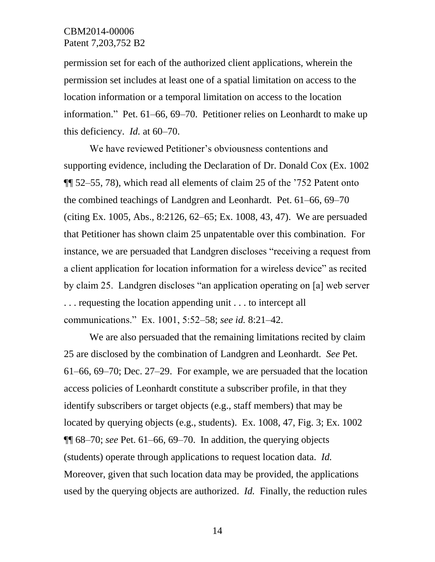permission set for each of the authorized client applications, wherein the permission set includes at least one of a spatial limitation on access to the location information or a temporal limitation on access to the location information." Pet. 61–66, 69–70. Petitioner relies on Leonhardt to make up this deficiency. *Id.* at 60–70.

We have reviewed Petitioner's obviousness contentions and supporting evidence, including the Declaration of Dr. Donald Cox (Ex. 1002 ¶¶ 52–55, 78), which read all elements of claim 25 of the '752 Patent onto the combined teachings of Landgren and Leonhardt. Pet. 61–66, 69–70 (citing Ex. 1005, Abs., 8:2126, 62–65; Ex. 1008, 43, 47). We are persuaded that Petitioner has shown claim 25 unpatentable over this combination. For instance, we are persuaded that Landgren discloses "receiving a request from a client application for location information for a wireless device" as recited by claim 25. Landgren discloses "an application operating on [a] web server . . . requesting the location appending unit . . . to intercept all communications." Ex. 1001, 5:52–58; *see id.* 8:21–42.

We are also persuaded that the remaining limitations recited by claim 25 are disclosed by the combination of Landgren and Leonhardt. *See* Pet. 61–66, 69–70; Dec. 27–29. For example, we are persuaded that the location access policies of Leonhardt constitute a subscriber profile, in that they identify subscribers or target objects (e.g., staff members) that may be located by querying objects (e.g., students). Ex. 1008, 47, Fig. 3; Ex. 1002 ¶¶ 68–70; *see* Pet. 61–66, 69–70. In addition, the querying objects (students) operate through applications to request location data. *Id.* Moreover, given that such location data may be provided, the applications used by the querying objects are authorized. *Id.* Finally, the reduction rules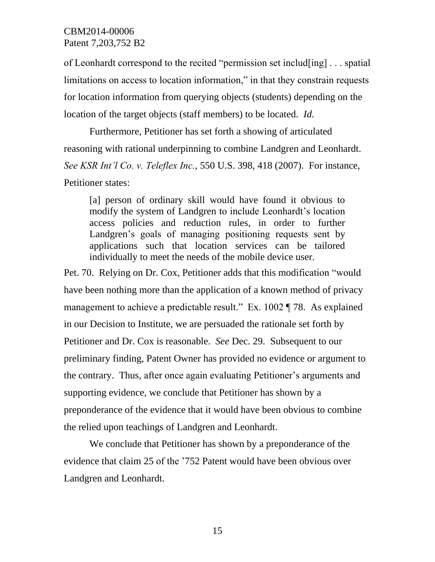of Leonhardt correspond to the recited "permission set includ[ing] . . . spatial limitations on access to location information," in that they constrain requests for location information from querying objects (students) depending on the location of the target objects (staff members) to be located. *Id.*

Furthermore, Petitioner has set forth a showing of articulated reasoning with rational underpinning to combine Landgren and Leonhardt. *See KSR Int'l Co. v. Teleflex Inc.*, 550 U.S. 398, 418 (2007). For instance, Petitioner states:

[a] person of ordinary skill would have found it obvious to modify the system of Landgren to include Leonhardt's location access policies and reduction rules, in order to further Landgren's goals of managing positioning requests sent by applications such that location services can be tailored individually to meet the needs of the mobile device user.

Pet. 70. Relying on Dr. Cox, Petitioner adds that this modification "would have been nothing more than the application of a known method of privacy management to achieve a predictable result." Ex. 1002 ¶ 78. As explained in our Decision to Institute, we are persuaded the rationale set forth by Petitioner and Dr. Cox is reasonable. *See* Dec. 29. Subsequent to our preliminary finding, Patent Owner has provided no evidence or argument to the contrary. Thus, after once again evaluating Petitioner's arguments and supporting evidence, we conclude that Petitioner has shown by a preponderance of the evidence that it would have been obvious to combine the relied upon teachings of Landgren and Leonhardt.

We conclude that Petitioner has shown by a preponderance of the evidence that claim 25 of the '752 Patent would have been obvious over Landgren and Leonhardt.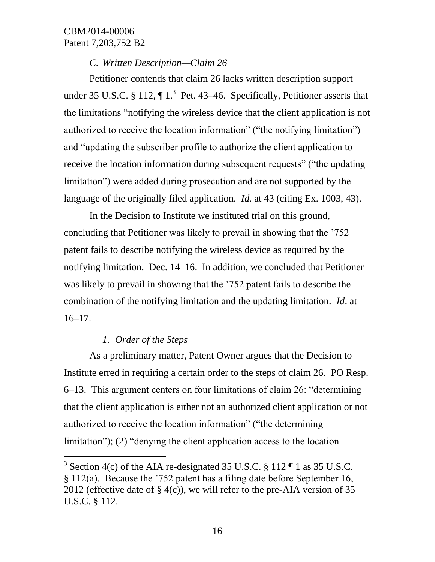*C. Written Description—Claim 26*

Petitioner contends that claim 26 lacks written description support under 35 U.S.C. § 112,  $\P$  1.<sup>3</sup> Pet. 43–46. Specifically, Petitioner asserts that the limitations "notifying the wireless device that the client application is not authorized to receive the location information" ("the notifying limitation") and "updating the subscriber profile to authorize the client application to receive the location information during subsequent requests" ("the updating limitation") were added during prosecution and are not supported by the language of the originally filed application. *Id.* at 43 (citing Ex. 1003, 43).

In the Decision to Institute we instituted trial on this ground, concluding that Petitioner was likely to prevail in showing that the '752 patent fails to describe notifying the wireless device as required by the notifying limitation. Dec. 14–16. In addition, we concluded that Petitioner was likely to prevail in showing that the '752 patent fails to describe the combination of the notifying limitation and the updating limitation. *Id*. at  $16-17.$ 

## *1. Order of the Steps*

l

As a preliminary matter, Patent Owner argues that the Decision to Institute erred in requiring a certain order to the steps of claim 26. PO Resp. 6–13. This argument centers on four limitations of claim 26: "determining that the client application is either not an authorized client application or not authorized to receive the location information" ("the determining limitation"); (2) "denying the client application access to the location

<sup>&</sup>lt;sup>3</sup> Section 4(c) of the AIA re-designated 35 U.S.C. § 112  $\P$  1 as 35 U.S.C. § 112(a). Because the '752 patent has a filing date before September 16, 2012 (effective date of  $\S$  4(c)), we will refer to the pre-AIA version of 35 U.S.C. § 112.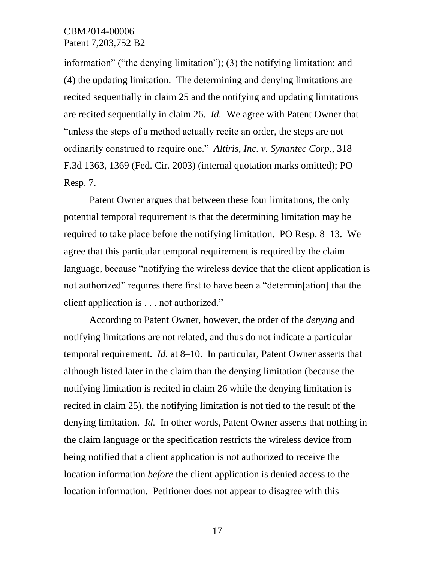information" ("the denying limitation"); (3) the notifying limitation; and (4) the updating limitation. The determining and denying limitations are recited sequentially in claim 25 and the notifying and updating limitations are recited sequentially in claim 26. *Id.* We agree with Patent Owner that "unless the steps of a method actually recite an order, the steps are not ordinarily construed to require one." *Altiris, Inc. v. Synantec Corp.*, 318 F.3d 1363, 1369 (Fed. Cir. 2003) (internal quotation marks omitted); PO Resp. 7.

Patent Owner argues that between these four limitations, the only potential temporal requirement is that the determining limitation may be required to take place before the notifying limitation. PO Resp. 8–13. We agree that this particular temporal requirement is required by the claim language, because "notifying the wireless device that the client application is not authorized" requires there first to have been a "determin[ation] that the client application is . . . not authorized."

According to Patent Owner, however, the order of the *denying* and notifying limitations are not related, and thus do not indicate a particular temporal requirement. *Id.* at 8–10. In particular, Patent Owner asserts that although listed later in the claim than the denying limitation (because the notifying limitation is recited in claim 26 while the denying limitation is recited in claim 25), the notifying limitation is not tied to the result of the denying limitation. *Id.* In other words, Patent Owner asserts that nothing in the claim language or the specification restricts the wireless device from being notified that a client application is not authorized to receive the location information *before* the client application is denied access to the location information. Petitioner does not appear to disagree with this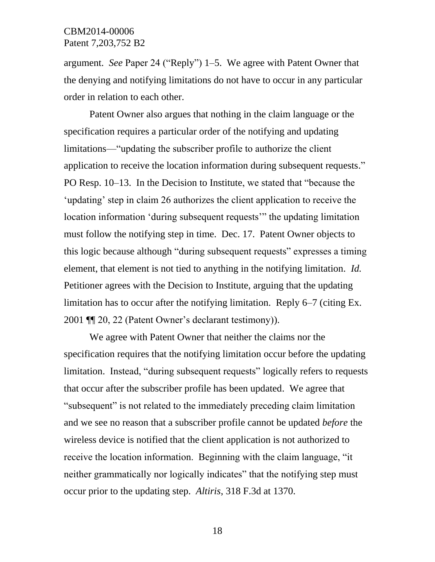argument. *See* Paper 24 ("Reply") 1–5. We agree with Patent Owner that the denying and notifying limitations do not have to occur in any particular order in relation to each other.

Patent Owner also argues that nothing in the claim language or the specification requires a particular order of the notifying and updating limitations—"updating the subscriber profile to authorize the client application to receive the location information during subsequent requests." PO Resp. 10–13. In the Decision to Institute, we stated that "because the 'updating' step in claim 26 authorizes the client application to receive the location information 'during subsequent requests'" the updating limitation must follow the notifying step in time. Dec. 17. Patent Owner objects to this logic because although "during subsequent requests" expresses a timing element, that element is not tied to anything in the notifying limitation. *Id.* Petitioner agrees with the Decision to Institute, arguing that the updating limitation has to occur after the notifying limitation. Reply 6–7 (citing Ex. 2001 ¶¶ 20, 22 (Patent Owner's declarant testimony)).

We agree with Patent Owner that neither the claims nor the specification requires that the notifying limitation occur before the updating limitation. Instead, "during subsequent requests" logically refers to requests that occur after the subscriber profile has been updated. We agree that "subsequent" is not related to the immediately preceding claim limitation and we see no reason that a subscriber profile cannot be updated *before* the wireless device is notified that the client application is not authorized to receive the location information. Beginning with the claim language, "it neither grammatically nor logically indicates" that the notifying step must occur prior to the updating step. *Altiris*, 318 F.3d at 1370.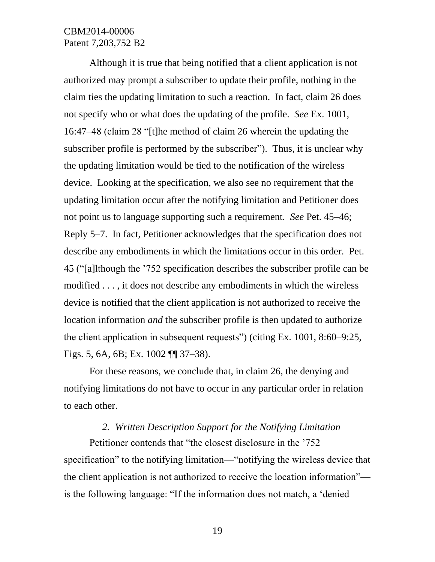Although it is true that being notified that a client application is not authorized may prompt a subscriber to update their profile, nothing in the claim ties the updating limitation to such a reaction. In fact, claim 26 does not specify who or what does the updating of the profile. *See* Ex. 1001, 16:47–48 (claim 28 "[t]he method of claim 26 wherein the updating the subscriber profile is performed by the subscriber"). Thus, it is unclear why the updating limitation would be tied to the notification of the wireless device. Looking at the specification, we also see no requirement that the updating limitation occur after the notifying limitation and Petitioner does not point us to language supporting such a requirement. *See* Pet. 45–46; Reply 5–7. In fact, Petitioner acknowledges that the specification does not describe any embodiments in which the limitations occur in this order. Pet. 45 ("[a]lthough the '752 specification describes the subscriber profile can be modified . . . , it does not describe any embodiments in which the wireless device is notified that the client application is not authorized to receive the location information *and* the subscriber profile is then updated to authorize the client application in subsequent requests") (citing Ex. 1001, 8:60–9:25, Figs. 5, 6A, 6B; Ex. 1002 ¶¶ 37–38).

For these reasons, we conclude that, in claim 26, the denying and notifying limitations do not have to occur in any particular order in relation to each other.

# *2. Written Description Support for the Notifying Limitation*

Petitioner contends that "the closest disclosure in the '752 specification" to the notifying limitation—"notifying the wireless device that the client application is not authorized to receive the location information" is the following language: "If the information does not match, a 'denied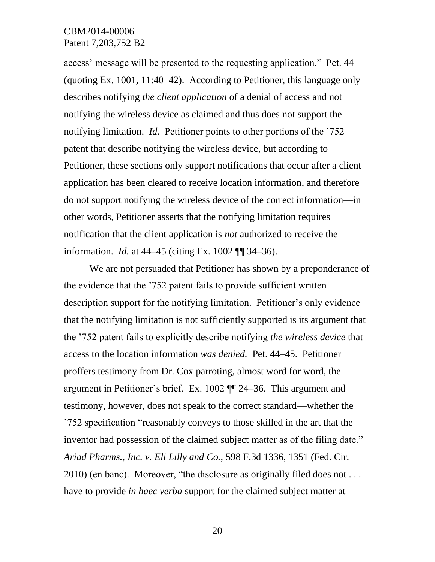access' message will be presented to the requesting application." Pet. 44 (quoting Ex. 1001, 11:40–42). According to Petitioner, this language only describes notifying *the client application* of a denial of access and not notifying the wireless device as claimed and thus does not support the notifying limitation. *Id.* Petitioner points to other portions of the '752 patent that describe notifying the wireless device, but according to Petitioner, these sections only support notifications that occur after a client application has been cleared to receive location information, and therefore do not support notifying the wireless device of the correct information—in other words, Petitioner asserts that the notifying limitation requires notification that the client application is *not* authorized to receive the information. *Id.* at 44–45 (citing Ex. 1002 ¶¶ 34–36).

We are not persuaded that Petitioner has shown by a preponderance of the evidence that the '752 patent fails to provide sufficient written description support for the notifying limitation. Petitioner's only evidence that the notifying limitation is not sufficiently supported is its argument that the '752 patent fails to explicitly describe notifying *the wireless device* that access to the location information *was denied.* Pet. 44–45. Petitioner proffers testimony from Dr. Cox parroting, almost word for word, the argument in Petitioner's brief. Ex. 1002 ¶¶ 24–36. This argument and testimony, however, does not speak to the correct standard—whether the '752 specification "reasonably conveys to those skilled in the art that the inventor had possession of the claimed subject matter as of the filing date." *Ariad Pharms., Inc. v. Eli Lilly and Co.,* 598 F.3d 1336, 1351 (Fed. Cir. 2010) (en banc). Moreover, "the disclosure as originally filed does not . . . have to provide *in haec verba* support for the claimed subject matter at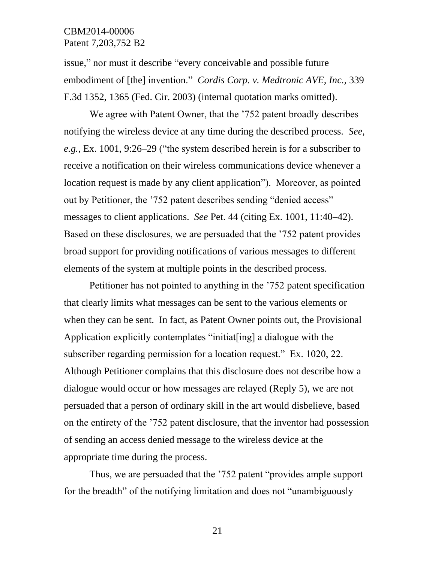issue," nor must it describe "every conceivable and possible future embodiment of [the] invention." *Cordis Corp. v. Medtronic AVE, Inc.,* 339 F.3d 1352, 1365 (Fed. Cir. 2003) (internal quotation marks omitted).

We agree with Patent Owner, that the '752 patent broadly describes notifying the wireless device at any time during the described process. *See, e.g.*, Ex. 1001, 9:26–29 ("the system described herein is for a subscriber to receive a notification on their wireless communications device whenever a location request is made by any client application"). Moreover, as pointed out by Petitioner, the '752 patent describes sending "denied access" messages to client applications. *See* Pet. 44 (citing Ex. 1001, 11:40–42). Based on these disclosures, we are persuaded that the '752 patent provides broad support for providing notifications of various messages to different elements of the system at multiple points in the described process.

Petitioner has not pointed to anything in the '752 patent specification that clearly limits what messages can be sent to the various elements or when they can be sent. In fact, as Patent Owner points out, the Provisional Application explicitly contemplates "initiat[ing] a dialogue with the subscriber regarding permission for a location request." Ex. 1020, 22. Although Petitioner complains that this disclosure does not describe how a dialogue would occur or how messages are relayed (Reply 5), we are not persuaded that a person of ordinary skill in the art would disbelieve, based on the entirety of the '752 patent disclosure, that the inventor had possession of sending an access denied message to the wireless device at the appropriate time during the process.

Thus, we are persuaded that the '752 patent "provides ample support for the breadth" of the notifying limitation and does not "unambiguously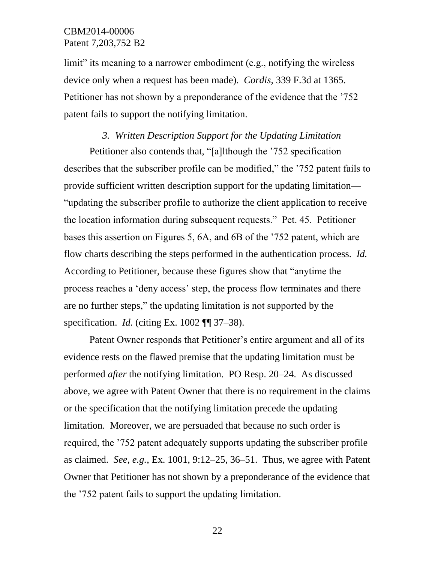limit" its meaning to a narrower embodiment (e.g., notifying the wireless device only when a request has been made). *Cordis*, 339 F.3d at 1365. Petitioner has not shown by a preponderance of the evidence that the '752 patent fails to support the notifying limitation.

# *3. Written Description Support for the Updating Limitation*

Petitioner also contends that, "[a]lthough the '752 specification describes that the subscriber profile can be modified," the '752 patent fails to provide sufficient written description support for the updating limitation— "updating the subscriber profile to authorize the client application to receive the location information during subsequent requests." Pet. 45. Petitioner bases this assertion on Figures 5, 6A, and 6B of the '752 patent, which are flow charts describing the steps performed in the authentication process. *Id.* According to Petitioner, because these figures show that "anytime the process reaches a 'deny access' step, the process flow terminates and there are no further steps," the updating limitation is not supported by the specification. *Id.* (citing Ex. 1002 ¶¶ 37–38).

Patent Owner responds that Petitioner's entire argument and all of its evidence rests on the flawed premise that the updating limitation must be performed *after* the notifying limitation. PO Resp. 20–24. As discussed above, we agree with Patent Owner that there is no requirement in the claims or the specification that the notifying limitation precede the updating limitation. Moreover, we are persuaded that because no such order is required, the '752 patent adequately supports updating the subscriber profile as claimed. *See, e.g.*, Ex. 1001, 9:12–25, 36–51. Thus, we agree with Patent Owner that Petitioner has not shown by a preponderance of the evidence that the '752 patent fails to support the updating limitation.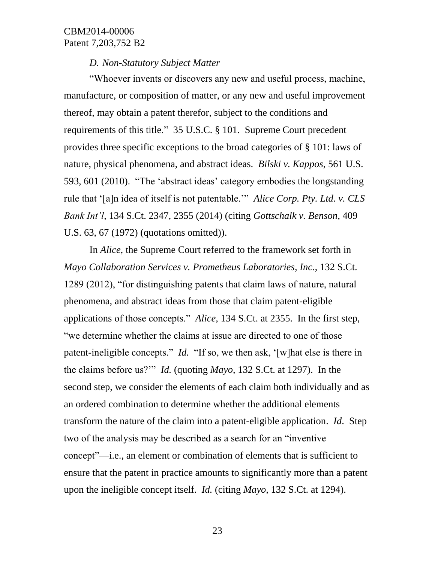#### *D. Non-Statutory Subject Matter*

"Whoever invents or discovers any new and useful process, machine, manufacture, or composition of matter, or any new and useful improvement thereof, may obtain a patent therefor, subject to the conditions and requirements of this title." 35 U.S.C. § 101. Supreme Court precedent provides three specific exceptions to the broad categories of § 101: laws of nature, physical phenomena, and abstract ideas. *Bilski v. Kappos*, 561 U.S. 593, 601 (2010). "The 'abstract ideas' category embodies the longstanding rule that '[a]n idea of itself is not patentable.'" *Alice Corp. Pty. Ltd. v. CLS Bank Int'l*, 134 S.Ct. 2347, 2355 (2014) (citing *Gottschalk v. Benson*, 409 U.S. 63, 67 (1972) (quotations omitted)).

In *Alice*, the Supreme Court referred to the framework set forth in *Mayo Collaboration Services v. Prometheus Laboratories, Inc.*, 132 S.Ct. 1289 (2012), "for distinguishing patents that claim laws of nature, natural phenomena, and abstract ideas from those that claim patent-eligible applications of those concepts." *Alice*, 134 S.Ct. at 2355. In the first step, "we determine whether the claims at issue are directed to one of those patent-ineligible concepts." *Id.* "If so, we then ask, '[w]hat else is there in the claims before us?'" *Id.* (quoting *Mayo*, 132 S.Ct. at 1297). In the second step, we consider the elements of each claim both individually and as an ordered combination to determine whether the additional elements transform the nature of the claim into a patent-eligible application. *Id*. Step two of the analysis may be described as a search for an "inventive concept"—i.e., an element or combination of elements that is sufficient to ensure that the patent in practice amounts to significantly more than a patent upon the ineligible concept itself. *Id.* (citing *Mayo*, 132 S.Ct. at 1294).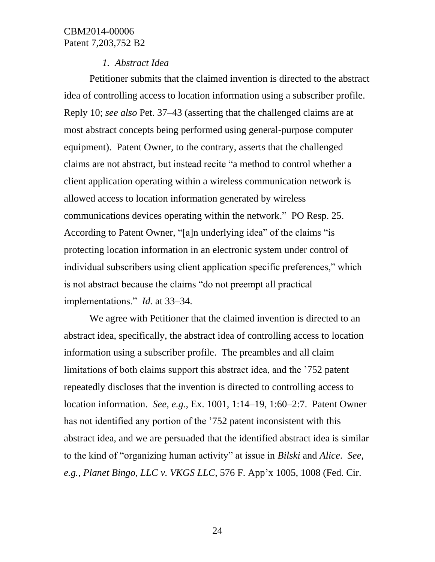#### *1. Abstract Idea*

Petitioner submits that the claimed invention is directed to the abstract idea of controlling access to location information using a subscriber profile. Reply 10; *see also* Pet. 37–43 (asserting that the challenged claims are at most abstract concepts being performed using general-purpose computer equipment). Patent Owner, to the contrary, asserts that the challenged claims are not abstract, but instead recite "a method to control whether a client application operating within a wireless communication network is allowed access to location information generated by wireless communications devices operating within the network." PO Resp. 25. According to Patent Owner, "[a]n underlying idea" of the claims "is protecting location information in an electronic system under control of individual subscribers using client application specific preferences," which is not abstract because the claims "do not preempt all practical implementations." *Id.* at 33–34.

We agree with Petitioner that the claimed invention is directed to an abstract idea, specifically, the abstract idea of controlling access to location information using a subscriber profile. The preambles and all claim limitations of both claims support this abstract idea, and the '752 patent repeatedly discloses that the invention is directed to controlling access to location information. *See, e.g.*, Ex. 1001, 1:14–19, 1:60–2:7. Patent Owner has not identified any portion of the '752 patent inconsistent with this abstract idea, and we are persuaded that the identified abstract idea is similar to the kind of "organizing human activity" at issue in *Bilski* and *Alice*. *See, e.g.*, *Planet Bingo, LLC v. VKGS LLC,* 576 F. App'x 1005, 1008 (Fed. Cir.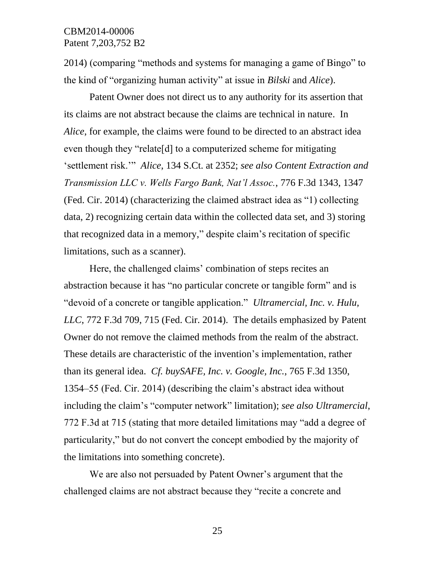2014) (comparing "methods and systems for managing a game of Bingo" to the kind of "organizing human activity" at issue in *Bilski* and *Alice*).

Patent Owner does not direct us to any authority for its assertion that its claims are not abstract because the claims are technical in nature. In *Alice*, for example, the claims were found to be directed to an abstract idea even though they "relate[d] to a computerized scheme for mitigating 'settlement risk.'" *Alice*, 134 S.Ct. at 2352; *see also Content Extraction and Transmission LLC v. Wells Fargo Bank, Nat'l Assoc.*, 776 F.3d 1343, 1347 (Fed. Cir. 2014) (characterizing the claimed abstract idea as "1) collecting data, 2) recognizing certain data within the collected data set, and 3) storing that recognized data in a memory," despite claim's recitation of specific limitations, such as a scanner).

Here, the challenged claims' combination of steps recites an abstraction because it has "no particular concrete or tangible form" and is "devoid of a concrete or tangible application." *Ultramercial, Inc. v. Hulu, LLC*, 772 F.3d 709, 715 (Fed. Cir. 2014). The details emphasized by Patent Owner do not remove the claimed methods from the realm of the abstract. These details are characteristic of the invention's implementation, rather than its general idea. *Cf. buySAFE, Inc. v. Google, Inc.*, 765 F.3d 1350, 1354–55 (Fed. Cir. 2014) (describing the claim's abstract idea without including the claim's "computer network" limitation); *see also Ultramercial*, 772 F.3d at 715 (stating that more detailed limitations may "add a degree of particularity," but do not convert the concept embodied by the majority of the limitations into something concrete).

We are also not persuaded by Patent Owner's argument that the challenged claims are not abstract because they "recite a concrete and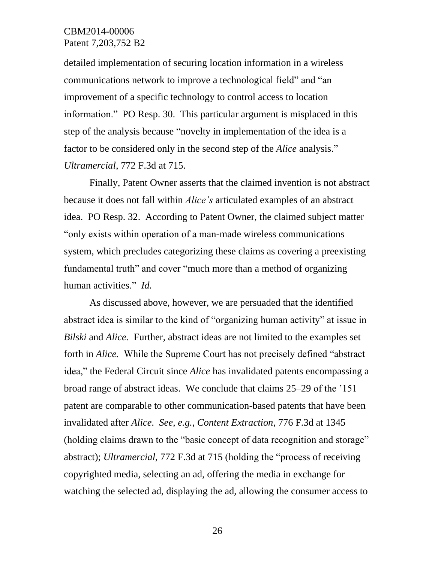detailed implementation of securing location information in a wireless communications network to improve a technological field" and "an improvement of a specific technology to control access to location information." PO Resp. 30. This particular argument is misplaced in this step of the analysis because "novelty in implementation of the idea is a factor to be considered only in the second step of the *Alice* analysis." *Ultramercial*, 772 F.3d at 715.

Finally, Patent Owner asserts that the claimed invention is not abstract because it does not fall within *Alice's* articulated examples of an abstract idea. PO Resp. 32. According to Patent Owner, the claimed subject matter "only exists within operation of a man-made wireless communications system, which precludes categorizing these claims as covering a preexisting fundamental truth" and cover "much more than a method of organizing human activities." *Id.*

As discussed above, however, we are persuaded that the identified abstract idea is similar to the kind of "organizing human activity" at issue in *Bilski* and *Alice.* Further, abstract ideas are not limited to the examples set forth in *Alice.* While the Supreme Court has not precisely defined "abstract idea," the Federal Circuit since *Alice* has invalidated patents encompassing a broad range of abstract ideas. We conclude that claims 25–29 of the '151 patent are comparable to other communication-based patents that have been invalidated after *Alice*. *See, e.g.*, *Content Extraction*, 776 F.3d at 1345 (holding claims drawn to the "basic concept of data recognition and storage" abstract); *Ultramercial*, 772 F.3d at 715 (holding the "process of receiving copyrighted media, selecting an ad, offering the media in exchange for watching the selected ad, displaying the ad, allowing the consumer access to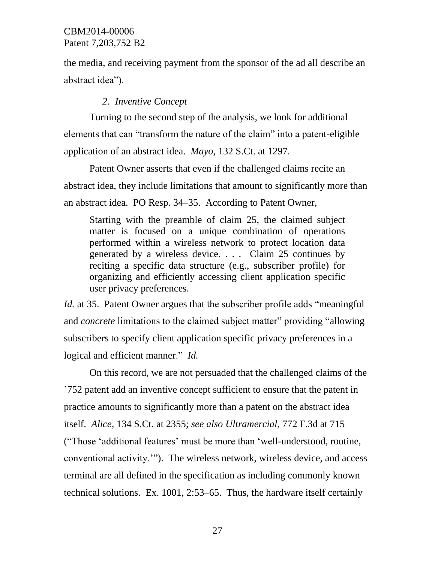the media, and receiving payment from the sponsor of the ad all describe an abstract idea").

#### *2. Inventive Concept*

Turning to the second step of the analysis, we look for additional elements that can "transform the nature of the claim" into a patent-eligible application of an abstract idea. *Mayo*, 132 S.Ct. at 1297.

Patent Owner asserts that even if the challenged claims recite an abstract idea, they include limitations that amount to significantly more than an abstract idea. PO Resp. 34–35. According to Patent Owner,

Starting with the preamble of claim 25, the claimed subject matter is focused on a unique combination of operations performed within a wireless network to protect location data generated by a wireless device. . . . Claim 25 continues by reciting a specific data structure (e.g., subscriber profile) for organizing and efficiently accessing client application specific user privacy preferences.

*Id.* at 35. Patent Owner argues that the subscriber profile adds "meaningful" and *concrete* limitations to the claimed subject matter" providing "allowing subscribers to specify client application specific privacy preferences in a logical and efficient manner." *Id.*

On this record, we are not persuaded that the challenged claims of the '752 patent add an inventive concept sufficient to ensure that the patent in practice amounts to significantly more than a patent on the abstract idea itself. *Alice,* 134 S.Ct. at 2355; *see also Ultramercial*, 772 F.3d at 715 ("Those 'additional features' must be more than 'well-understood, routine, conventional activity.'"). The wireless network, wireless device, and access terminal are all defined in the specification as including commonly known technical solutions. Ex. 1001, 2:53–65. Thus, the hardware itself certainly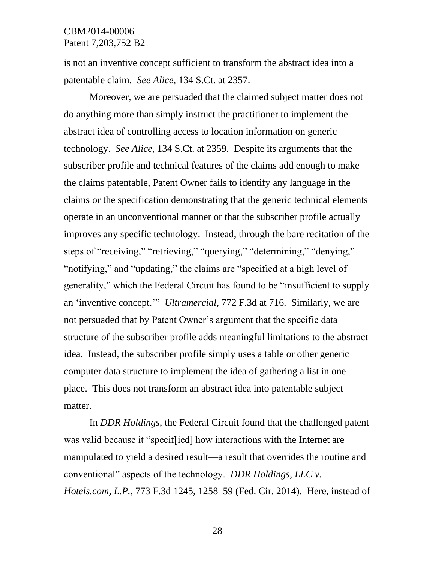is not an inventive concept sufficient to transform the abstract idea into a patentable claim. *See Alice,* 134 S.Ct. at 2357.

Moreover, we are persuaded that the claimed subject matter does not do anything more than simply instruct the practitioner to implement the abstract idea of controlling access to location information on generic technology. *See Alice*, 134 S.Ct. at 2359. Despite its arguments that the subscriber profile and technical features of the claims add enough to make the claims patentable, Patent Owner fails to identify any language in the claims or the specification demonstrating that the generic technical elements operate in an unconventional manner or that the subscriber profile actually improves any specific technology. Instead, through the bare recitation of the steps of "receiving," "retrieving," "querying," "determining," "denying," "notifying," and "updating," the claims are "specified at a high level of generality," which the Federal Circuit has found to be "insufficient to supply an 'inventive concept.'" *Ultramercial*, 772 F.3d at 716. Similarly, we are not persuaded that by Patent Owner's argument that the specific data structure of the subscriber profile adds meaningful limitations to the abstract idea. Instead, the subscriber profile simply uses a table or other generic computer data structure to implement the idea of gathering a list in one place. This does not transform an abstract idea into patentable subject matter.

In *DDR Holdings*, the Federal Circuit found that the challenged patent was valid because it "specif[ied] how interactions with the Internet are manipulated to yield a desired result—a result that overrides the routine and conventional" aspects of the technology. *DDR Holdings, LLC v. Hotels.com, L.P.*, 773 F.3d 1245, 1258–59 (Fed. Cir. 2014). Here, instead of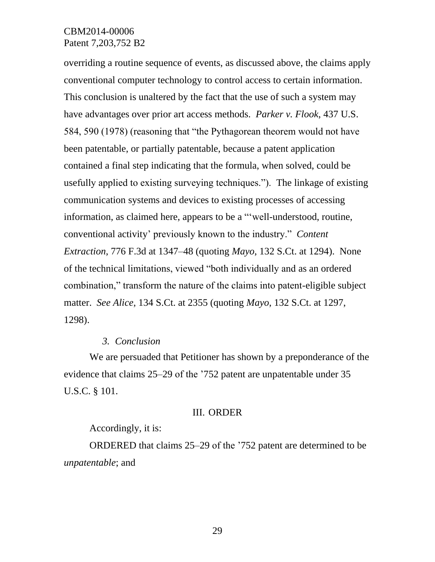overriding a routine sequence of events, as discussed above, the claims apply conventional computer technology to control access to certain information. This conclusion is unaltered by the fact that the use of such a system may have advantages over prior art access methods. *Parker v. Flook*, 437 U.S. 584, 590 (1978) (reasoning that "the Pythagorean theorem would not have been patentable, or partially patentable, because a patent application contained a final step indicating that the formula, when solved, could be usefully applied to existing surveying techniques."). The linkage of existing communication systems and devices to existing processes of accessing information, as claimed here, appears to be a "'well-understood, routine, conventional activity' previously known to the industry." *Content Extraction*, 776 F.3d at 1347–48 (quoting *Mayo*, 132 S.Ct. at 1294). None of the technical limitations, viewed "both individually and as an ordered combination," transform the nature of the claims into patent-eligible subject matter. *See Alice*, 134 S.Ct. at 2355 (quoting *Mayo*, 132 S.Ct. at 1297, 1298).

#### *3. Conclusion*

We are persuaded that Petitioner has shown by a preponderance of the evidence that claims 25–29 of the '752 patent are unpatentable under 35 U.S.C. § 101.

#### III. ORDER

#### Accordingly, it is:

ORDERED that claims 25–29 of the '752 patent are determined to be *unpatentable*; and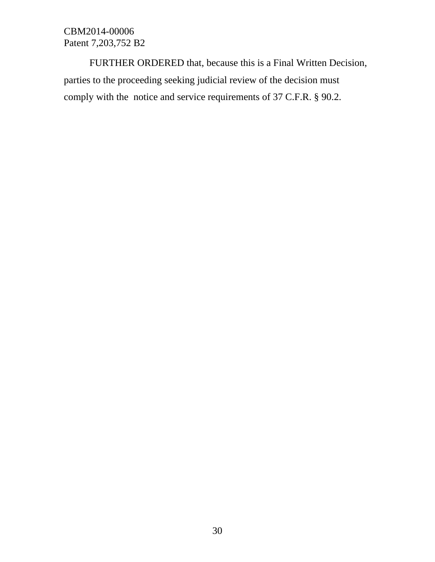FURTHER ORDERED that, because this is a Final Written Decision, parties to the proceeding seeking judicial review of the decision must comply with the notice and service requirements of 37 C.F.R. § 90.2.